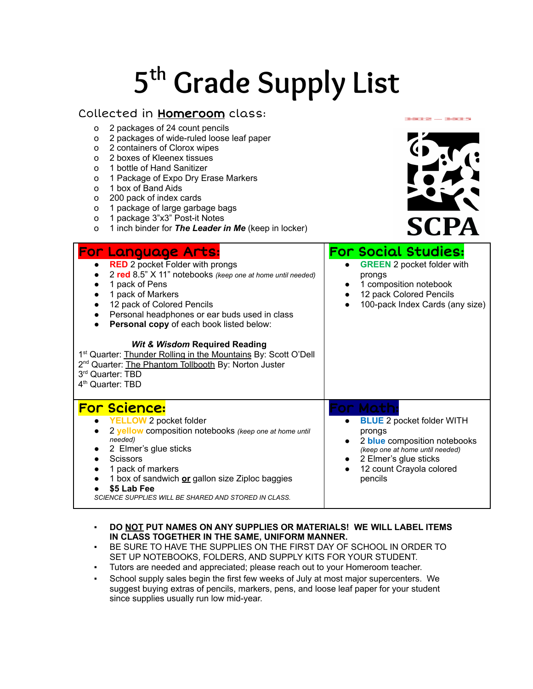### **5 th Grade Supply List**

#### Collected in Homeroom class:

- o 2 packages of 24 count pencils
- o 2 packages of wide-ruled loose leaf paper
- o 2 containers of Clorox wipes
- o 2 boxes of Kleenex tissues
- o 1 bottle of Hand Sanitizer
- o 1 Package of Expo Dry Erase Markers
- o 1 box of Band Aids
- o 200 pack of index cards
- o 1 package of large garbage bags
- o 1 package 3"x3" Post-it Notes
- o 1 inch binder for *The Leader in Me* (keep in locker)



| <b>For Language Arts:</b><br><b>RED</b> 2 pocket Folder with prongs<br>2 red 8.5" X 11" notebooks (keep one at home until needed)<br>1 pack of Pens<br>1 pack of Markers<br>12 pack of Colored Pencils<br>Personal headphones or ear buds used in class<br>Personal copy of each book listed below:           | <b>For Social Studies:</b><br><b>GREEN 2 pocket folder with</b><br>prongs<br>1 composition notebook<br>12 pack Colored Pencils<br>100-pack Index Cards (any size)                    |
|---------------------------------------------------------------------------------------------------------------------------------------------------------------------------------------------------------------------------------------------------------------------------------------------------------------|--------------------------------------------------------------------------------------------------------------------------------------------------------------------------------------|
| <b>Wit &amp; Wisdom Required Reading</b><br>1 <sup>st</sup> Quarter: Thunder Rolling in the Mountains By: Scott O'Dell<br>2 <sup>nd</sup> Quarter: The Phantom Tollbooth By: Norton Juster<br>3rd Quarter: TBD<br>4 <sup>th</sup> Quarter: TBD                                                                |                                                                                                                                                                                      |
| <b>For Science:</b><br><b>YELLOW</b> 2 pocket folder<br>2 yellow composition notebooks (keep one at home until<br>needed)<br>2 Elmer's glue sticks<br>Scissors<br>1 pack of markers<br>1 box of sandwich or gallon size Ziploc baggies<br>\$5 Lab Fee<br>SCIENCE SUPPLIES WILL BE SHARED AND STORED IN CLASS. | <b>BLUE</b> 2 pocket folder WITH<br>prongs<br>2 <b>blue</b> composition notebooks<br>(keep one at home until needed)<br>2 Elmer's glue sticks<br>12 count Crayola colored<br>pencils |

- **DO NOT PUT NAMES ON ANY SUPPLIES OR MATERIALS! WE WILL LABEL ITEMS IN CLASS TOGETHER IN THE SAME, UNIFORM MANNER.**
- BE SURE TO HAVE THE SUPPLIES ON THE FIRST DAY OF SCHOOL IN ORDER TO SET UP NOTEBOOKS, FOLDERS, AND SUPPLY KITS FOR YOUR STUDENT.
- Tutors are needed and appreciated; please reach out to your Homeroom teacher.
- School supply sales begin the first few weeks of July at most major supercenters. We suggest buying extras of pencils, markers, pens, and loose leaf paper for your student since supplies usually run low mid-year.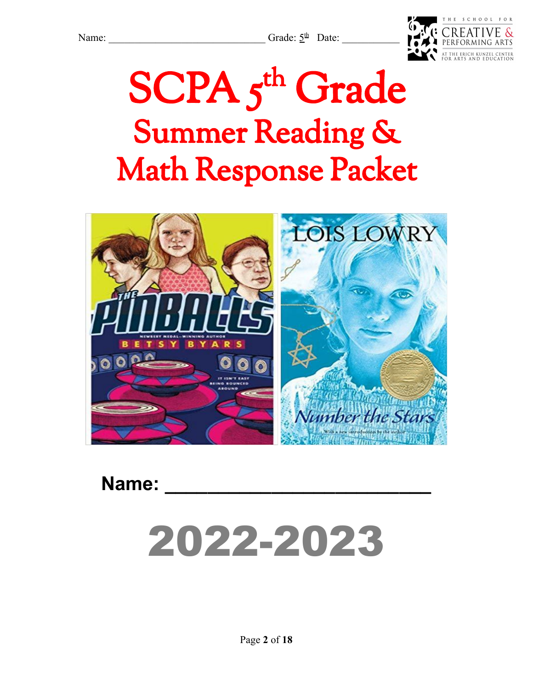



## SCPA 5th Grade Summer Reading & Math Response Packet



**Name: \_\_\_\_\_\_\_\_\_\_\_\_\_\_\_\_\_\_\_\_\_\_\_\_\_**

# 2022-2023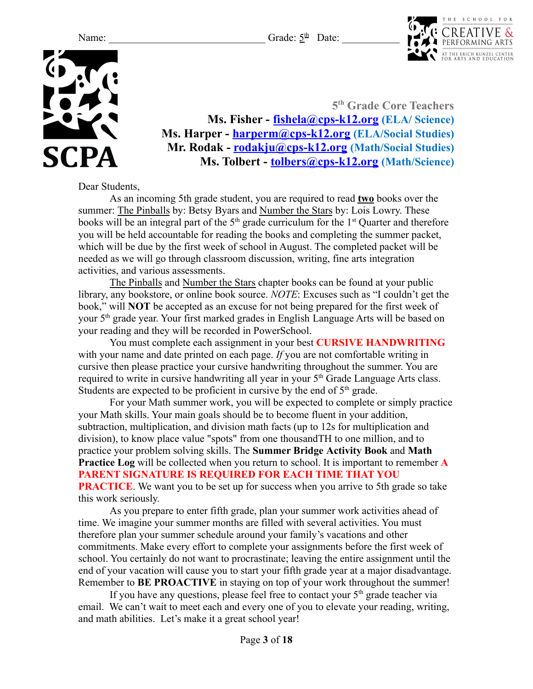Name:  $\Box$  Grade:  $\underline{5}^{\underline{u}}$  Date:







**5 th Grade Core Teachers Ms. Fisher - [fishela@cps-k12.org](mailto:cianijo@cps-k12.org) (ELA/ Science) Ms. Harper - [harperm@cps-k12.org](mailto:harperm@cps-k12.org) (ELA/Social Studies) Mr. Rodak - [rodakju@cps-k12.org](mailto:rodakju@cps-k12.org) (Math/Social Studies) Ms. Tolbert - [tolbers@cps-k12.org](mailto:tolbers@cps-k12.org) (Math/Science)**

Dear Students,

As an incoming 5th grade student, you are required to read **two** books over the summer: The Pinballs by: Betsy Byars and Number the Stars by: Lois Lowry. These books will be an integral part of the  $5<sup>th</sup>$  grade curriculum for the  $1<sup>st</sup>$  Quarter and therefore you will be held accountable for reading the books and completing the summer packet, which will be due by the first week of school in August. The completed packet will be needed as we will go through classroom discussion, writing, fine arts integration activities, and various assessments.

The Pinballs and Number the Stars chapter books can be found at your public library, any bookstore, or online book source. *NOTE*: Excuses such as "I couldn't get the book," will **NOT** be accepted as an excuse for not being prepared for the first week of your 5th grade year. Your first marked grades in English Language Arts will be based on your reading and they will be recorded in PowerSchool.

You must complete each assignment in your best **CURSIVE HANDWRITING** with your name and date printed on each page. *If* you are not comfortable writing in cursive then please practice your cursive handwriting throughout the summer. You are required to write in cursive handwriting all year in your 5<sup>th</sup> Grade Language Arts class. Students are expected to be proficient in cursive by the end of  $5<sup>th</sup>$  grade.

For your Math summer work, you will be expected to complete or simply practice your Math skills. Your main goals should be to become fluent in your addition, subtraction, multiplication, and division math facts (up to 12s for multiplication and division), to know place value "spots" from one thousandTH to one million, and to practice your problem solving skills. The **Summer Bridge Activity Book** and **Math Practice Log** will be collected when you return to school. It is important to remember **A PARENT SIGNATURE IS REQUIRED FOR EACH TIME THAT YOU PRACTICE**. We want you to be set up for success when you arrive to 5th grade so take this work seriously.

As you prepare to enter fifth grade, plan your summer work activities ahead of time. We imagine your summer months are filled with several activities. You must therefore plan your summer schedule around your family's vacations and other commitments. Make every effort to complete your assignments before the first week of school. You certainly do not want to procrastinate; leaving the entire assignment until the end of your vacation will cause you to start your fifth grade year at a major disadvantage. Remember to **BE PROACTIVE** in staying on top of your work throughout the summer!

If you have any questions, please feel free to contact your  $5<sup>th</sup>$  grade teacher via email. We can't wait to meet each and every one of you to elevate your reading, writing, and math abilities. Let's make it a great school year!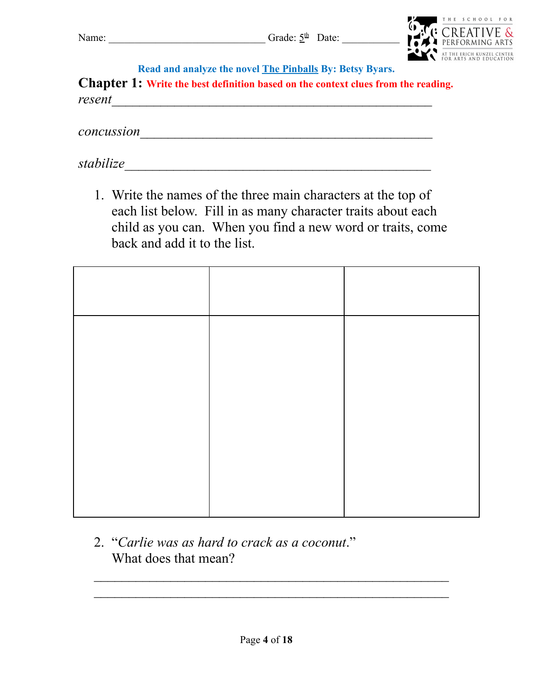

**Read and analyze the novel The Pinballs By: Betsy Byars.**

**Chapter 1: Write the best definition based on the context clues from the reading.** *resent\_\_\_\_\_\_\_\_\_\_\_\_\_\_\_\_\_\_\_\_\_\_\_\_\_\_\_\_\_\_\_\_\_\_\_\_\_\_\_\_\_\_\_\_\_\_*

*concussion\_\_\_\_\_\_\_\_\_\_\_\_\_\_\_\_\_\_\_\_\_\_\_\_\_\_\_\_\_\_\_\_\_\_\_\_\_\_\_\_\_\_*

*stabilize\_\_\_\_\_\_\_\_\_\_\_\_\_\_\_\_\_\_\_\_\_\_\_\_\_\_\_\_\_\_\_\_\_\_\_\_\_\_\_\_\_\_\_\_*

1. Write the names of the three main characters at the top of each list below. Fill in as many character traits about each child as you can. When you find a new word or traits, come back and add it to the list.

2. "*Carlie was as hard to crack as a coconut*." What does that mean?

 $\mathcal{L}_\text{max}$  and the contract of the contract of the contract of the contract of the contract of the contract of the contract of the contract of the contract of the contract of the contract of the contract of the contrac  $\mathcal{L}_\text{max}$  and the contract of the contract of the contract of the contract of the contract of the contract of the contract of the contract of the contract of the contract of the contract of the contract of the contrac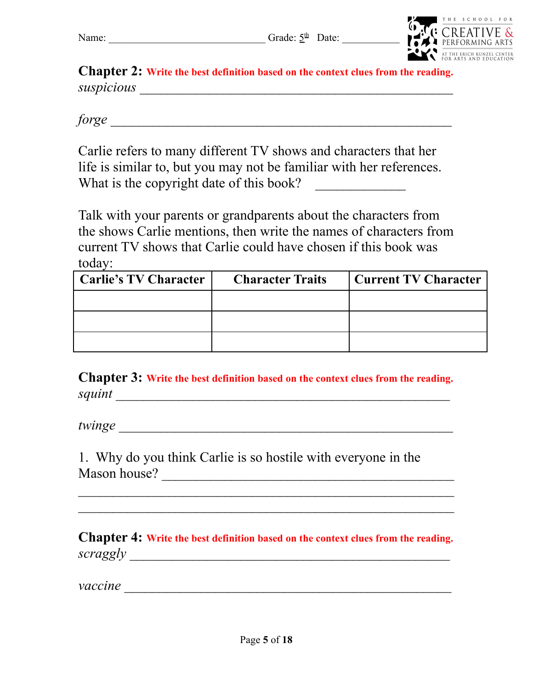| ım<br>., |
|----------|
| ╭        |



**Chapter 2: Write the best definition based on the context clues from the reading.** *suspicious \_\_\_\_\_\_\_\_\_\_\_\_\_\_\_\_\_\_\_\_\_\_\_\_\_\_\_\_\_\_\_\_\_\_\_\_\_\_\_\_\_\_\_\_\_*

*forge* \_\_\_\_\_\_\_\_\_\_\_\_\_\_\_\_\_\_\_\_\_\_\_\_\_\_\_\_\_\_\_\_\_\_\_\_\_\_\_\_\_\_\_\_\_\_\_\_\_

Carlie refers to many different TV shows and characters that her life is similar to, but you may not be familiar with her references. What is the copyright date of this book?

Talk with your parents or grandparents about the characters from the shows Carlie mentions, then write the names of characters from current TV shows that Carlie could have chosen if this book was today:

| <b>Carlie's TV Character</b> | <b>Character Traits</b> | Current TV Character |
|------------------------------|-------------------------|----------------------|
|                              |                         |                      |
|                              |                         |                      |
|                              |                         |                      |

**Chapter 3: Write the best definition based on the context clues from the reading.** *squint \_\_\_\_\_\_\_\_\_\_\_\_\_\_\_\_\_\_\_\_\_\_\_\_\_\_\_\_\_\_\_\_\_\_\_\_\_\_\_\_\_\_\_\_\_\_\_\_*

*twinge \_\_\_\_\_\_\_\_\_\_\_\_\_\_\_\_\_\_\_\_\_\_\_\_\_\_\_\_\_\_\_\_\_\_\_\_\_\_\_\_\_\_\_\_\_\_\_\_*

1. Why do you think Carlie is so hostile with everyone in the Mason house? \_\_\_\_\_\_\_\_\_\_\_\_\_\_\_\_\_\_\_\_\_\_\_\_\_\_\_\_\_\_\_\_\_\_\_\_\_\_\_\_\_\_

**Chapter 4: Write the best definition based on the context clues from the reading.** *scraggly \_\_\_\_\_\_\_\_\_\_\_\_\_\_\_\_\_\_\_\_\_\_\_\_\_\_\_\_\_\_\_\_\_\_\_\_\_\_\_\_\_\_\_\_\_\_*

 $\mathcal{L}_\text{max}$  , and the contract of the contract of the contract of the contract of the contract of the contract of the contract of the contract of the contract of the contract of the contract of the contract of the contr  $\mathcal{L}_\text{max}$  , and the contract of the contract of the contract of the contract of the contract of the contract of the contract of the contract of the contract of the contract of the contract of the contract of the contr

*vaccine \_\_\_\_\_\_\_\_\_\_\_\_\_\_\_\_\_\_\_\_\_\_\_\_\_\_\_\_\_\_\_\_\_\_\_\_\_\_\_\_\_\_\_\_\_\_\_*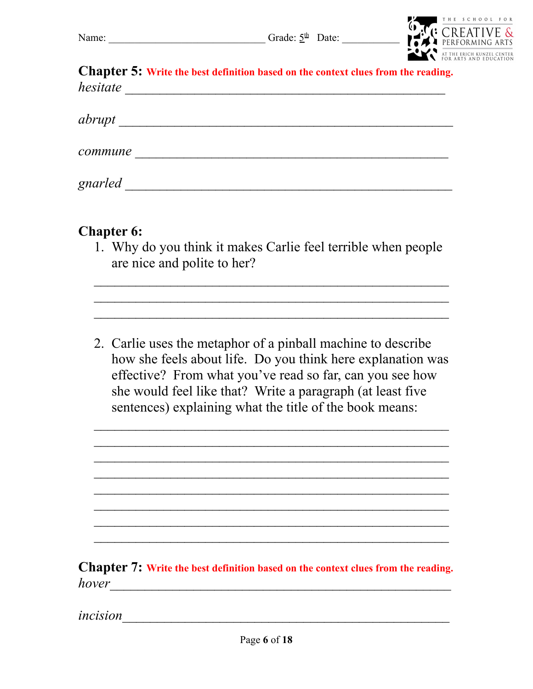

| hesitate | Chapter 5: Write the best definition based on the context clues from the reading. |
|----------|-----------------------------------------------------------------------------------|
| abrupt   |                                                                                   |
| commune  |                                                                                   |
| gnarled  |                                                                                   |

#### **Chapter 6:**

1. Why do you think it makes Carlie feel terrible when people are nice and polite to her?

 $\mathcal{L}_\text{max}$  and the contract of the contract of the contract of the contract of the contract of the contract of the contract of the contract of the contract of the contract of the contract of the contract of the contrac  $\mathcal{L}_\text{max}$  , and the contract of the contract of the contract of the contract of the contract of the contract of the contract of the contract of the contract of the contract of the contract of the contract of the contr  $\mathcal{L}_\text{max}$  , and the contract of the contract of the contract of the contract of the contract of the contract of the contract of the contract of the contract of the contract of the contract of the contract of the contr

2. Carlie uses the metaphor of a pinball machine to describe how she feels about life. Do you think here explanation was effective? From what you've read so far, can you see how she would feel like that? Write a paragraph (at least five sentences) explaining what the title of the book means:

 $\mathcal{L}_\text{max}$  , and the contract of the contract of the contract of the contract of the contract of the contract of the contract of the contract of the contract of the contract of the contract of the contract of the contr  $\mathcal{L}_\text{max}$  , and the contract of the contract of the contract of the contract of the contract of the contract of the contract of the contract of the contract of the contract of the contract of the contract of the contr  $\mathcal{L}_\text{max}$  , and the contract of the contract of the contract of the contract of the contract of the contract of the contract of the contract of the contract of the contract of the contract of the contract of the contr  $\mathcal{L}_\text{max}$  , and the contract of the contract of the contract of the contract of the contract of the contract of the contract of the contract of the contract of the contract of the contract of the contract of the contr  $\mathcal{L}_\text{max}$  , and the contract of the contract of the contract of the contract of the contract of the contract of the contract of the contract of the contract of the contract of the contract of the contract of the contr  $\mathcal{L}_\text{max}$  and the contract of the contract of the contract of the contract of the contract of the contract of the contract of the contract of the contract of the contract of the contract of the contract of the contrac  $\mathcal{L}_\text{max}$  and the contract of the contract of the contract of the contract of the contract of the contract of the contract of the contract of the contract of the contract of the contract of the contract of the contrac  $\mathcal{L}_\text{max}$  and the contract of the contract of the contract of the contract of the contract of the contract of the contract of the contract of the contract of the contract of the contract of the contract of the contrac

**Chapter 7: Write the best definition based on the context clues from the reading.** *hover\_\_\_\_\_\_\_\_\_\_\_\_\_\_\_\_\_\_\_\_\_\_\_\_\_\_\_\_\_\_\_\_\_\_\_\_\_\_\_\_\_\_\_\_\_\_\_\_\_*

*incision\_\_\_\_\_\_\_\_\_\_\_\_\_\_\_\_\_\_\_\_\_\_\_\_\_\_\_\_\_\_\_\_\_\_\_\_\_\_\_\_\_\_\_\_\_\_\_*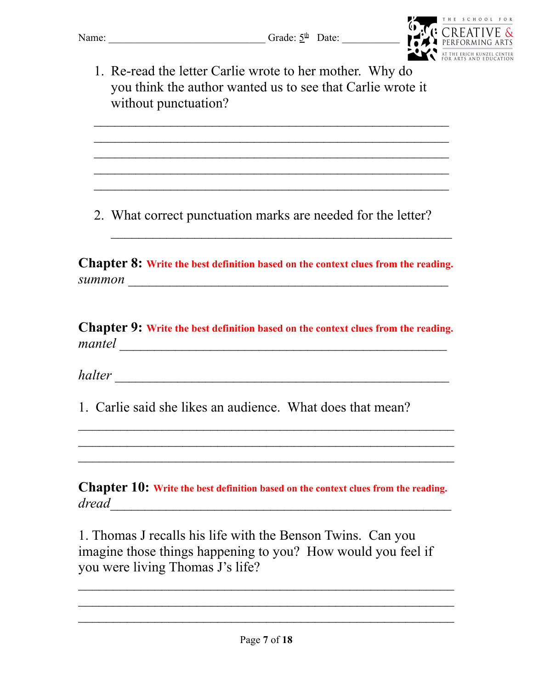

| 1. Re-read the letter Carlie wrote to her mother. Why do<br>you think the author wanted us to see that Carlie wrote it<br>without punctuation?                  | <b>AN</b> FOR A |
|-----------------------------------------------------------------------------------------------------------------------------------------------------------------|-----------------|
|                                                                                                                                                                 |                 |
| 2. What correct punctuation marks are needed for the letter?                                                                                                    |                 |
| Chapter 8: Write the best definition based on the context clues from the reading.<br>summon                                                                     |                 |
| Chapter 9: Write the best definition based on the context clues from the reading.<br>mantel                                                                     |                 |
| halter                                                                                                                                                          |                 |
| 1. Carlie said she likes an audience. What does that mean?                                                                                                      |                 |
| Chapter 10: Write the best definition based on the context clues from the reading.                                                                              |                 |
| dread                                                                                                                                                           |                 |
| 1. Thomas J recalls his life with the Benson Twins. Can you<br>imagine those things happening to you? How would you feel if<br>you were living Thomas J's life? |                 |
|                                                                                                                                                                 |                 |

 $\mathcal{L}_\text{max}$  , and the contract of the contract of the contract of the contract of the contract of the contract of the contract of the contract of the contract of the contract of the contract of the contract of the contr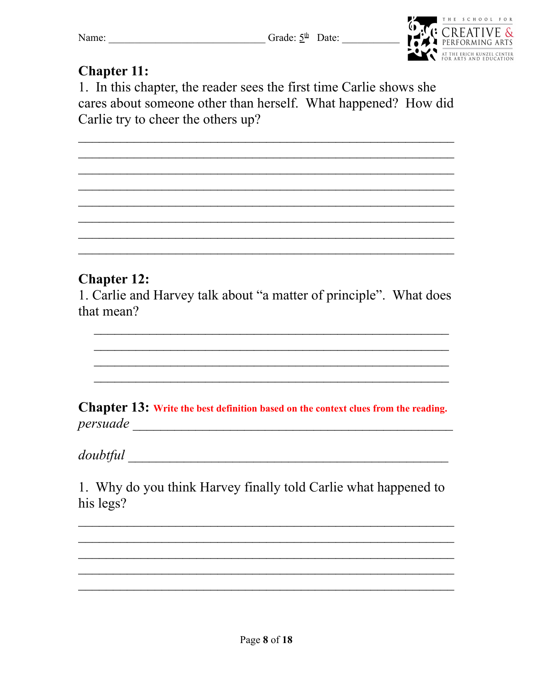

#### **Chapter 11:**

1. In this chapter, the reader sees the first time Carlie shows she cares about someone other than herself. What happened? How did Carlie try to cheer the others up?

#### **Chapter 12:**

1. Carlie and Harvey talk about "a matter of principle". What does that mean?

Chapter 13: Write the best definition based on the context clues from the reading. 

1. Why do you think Harvey finally told Carlie what happened to his legs?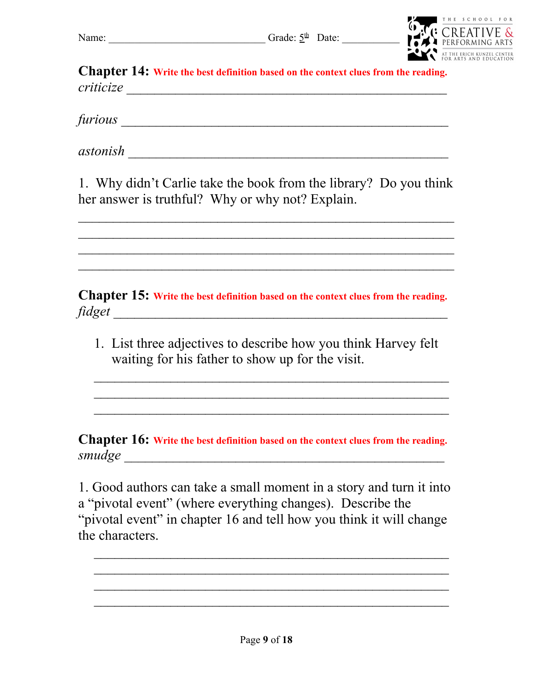

**Chapter 14: Write the best definition based on the context clues from the reading.** *criticize \_\_\_\_\_\_\_\_\_\_\_\_\_\_\_\_\_\_\_\_\_\_\_\_\_\_\_\_\_\_\_\_\_\_\_\_\_\_\_\_\_\_\_\_\_\_*

*furious \_\_\_\_\_\_\_\_\_\_\_\_\_\_\_\_\_\_\_\_\_\_\_\_\_\_\_\_\_\_\_\_\_\_\_\_\_\_\_\_\_\_\_\_\_\_\_*

*astonish \_\_\_\_\_\_\_\_\_\_\_\_\_\_\_\_\_\_\_\_\_\_\_\_\_\_\_\_\_\_\_\_\_\_\_\_\_\_\_\_\_\_\_\_\_\_*

1. Why didn't Carlie take the book from the library? Do you think her answer is truthful? Why or why not? Explain.

 $\mathcal{L}_\text{max}$  , and the contract of the contract of the contract of the contract of the contract of the contract of the contract of the contract of the contract of the contract of the contract of the contract of the contr  $\mathcal{L}_\text{max}$  and the contract of the contract of the contract of the contract of the contract of the contract of  $\mathcal{L}_\text{max}$  and the contract of the contract of the contract of the contract of the contract of the contract of

 $\mathcal{L}_\mathcal{L} = \{ \mathcal{L}_\mathcal{L} = \{ \mathcal{L}_\mathcal{L} = \{ \mathcal{L}_\mathcal{L} = \{ \mathcal{L}_\mathcal{L} = \{ \mathcal{L}_\mathcal{L} = \{ \mathcal{L}_\mathcal{L} = \{ \mathcal{L}_\mathcal{L} = \{ \mathcal{L}_\mathcal{L} = \{ \mathcal{L}_\mathcal{L} = \{ \mathcal{L}_\mathcal{L} = \{ \mathcal{L}_\mathcal{L} = \{ \mathcal{L}_\mathcal{L} = \{ \mathcal{L}_\mathcal{L} = \{ \mathcal{L}_\mathcal{$ 

**Chapter 15: Write the best definition based on the context clues from the reading.** *fidget \_\_\_\_\_\_\_\_\_\_\_\_\_\_\_\_\_\_\_\_\_\_\_\_\_\_\_\_\_\_\_\_\_\_\_\_\_\_\_\_\_\_\_\_\_\_\_\_*

1. List three adjectives to describe how you think Harvey felt waiting for his father to show up for the visit.

 $\mathcal{L}_\text{max}$  , and the contract of the contract of the contract of the contract of the contract of the contract of the contract of the contract of the contract of the contract of the contract of the contract of the contr  $\mathcal{L}_\text{max}$  , and the contract of the contract of the contract of the contract of the contract of the contract of the contract of the contract of the contract of the contract of the contract of the contract of the contr  $\mathcal{L}_\text{max}$  , and the contract of the contract of the contract of the contract of the contract of the contract of the contract of the contract of the contract of the contract of the contract of the contract of the contr

**Chapter 16: Write the best definition based on the context clues from the reading.** *smudge* \_\_\_\_\_\_\_\_\_\_\_\_\_\_\_\_\_\_\_\_\_\_\_\_\_\_\_\_\_\_\_\_\_\_\_\_\_\_\_\_\_\_\_\_\_\_

1. Good authors can take a small moment in a story and turn it into a "pivotal event" (where everything changes). Describe the "pivotal event" in chapter 16 and tell how you think it will change the characters.

 $\mathcal{L}_\text{max}$  , and the contract of the contract of the contract of the contract of the contract of the contract of the contract of the contract of the contract of the contract of the contract of the contract of the contr  $\mathcal{L}_\text{max}$  , and the contract of the contract of the contract of the contract of the contract of the contract of the contract of the contract of the contract of the contract of the contract of the contract of the contr  $\mathcal{L}_\text{max}$  , and the contract of the contract of the contract of the contract of the contract of the contract of the contract of the contract of the contract of the contract of the contract of the contract of the contr  $\mathcal{L}_\text{max}$  , and the contract of the contract of the contract of the contract of the contract of the contract of the contract of the contract of the contract of the contract of the contract of the contract of the contr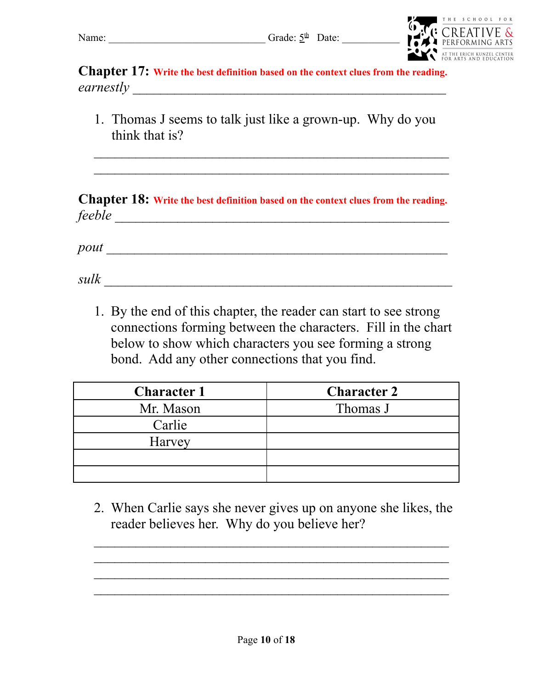| m<br>r<br>. . |  |
|---------------|--|



**Chapter 17: Write the best definition based on the context clues from the reading.** *earnestly \_\_\_\_\_\_\_\_\_\_\_\_\_\_\_\_\_\_\_\_\_\_\_\_\_\_\_\_\_\_\_\_\_\_\_\_\_\_\_\_\_\_\_\_\_*

1. Thomas J seems to talk just like a grown-up. Why do you think that is?

 $\mathcal{L}_\text{max}$  , and the contract of the contract of the contract of the contract of the contract of the contract of the contract of the contract of the contract of the contract of the contract of the contract of the contr  $\mathcal{L}_\text{max}$  , and the contract of the contract of the contract of the contract of the contract of the contract of the contract of the contract of the contract of the contract of the contract of the contract of the contr

**Chapter 18: Write the best definition based on the context clues from the reading.** *feeble \_\_\_\_\_\_\_\_\_\_\_\_\_\_\_\_\_\_\_\_\_\_\_\_\_\_\_\_\_\_\_\_\_\_\_\_\_\_\_\_\_\_\_\_\_\_\_\_*

*pout \_\_\_\_\_\_\_\_\_\_\_\_\_\_\_\_\_\_\_\_\_\_\_\_\_\_\_\_\_\_\_\_\_\_\_\_\_\_\_\_\_\_\_\_\_\_\_\_\_*

*sulk \_\_\_\_\_\_\_\_\_\_\_\_\_\_\_\_\_\_\_\_\_\_\_\_\_\_\_\_\_\_\_\_\_\_\_\_\_\_\_\_\_\_\_\_\_\_\_\_\_\_*

1. By the end of this chapter, the reader can start to see strong connections forming between the characters. Fill in the chart below to show which characters you see forming a strong bond. Add any other connections that you find.

| <b>Character 1</b> | <b>Character 2</b> |
|--------------------|--------------------|
| Mr. Mason          | Thomas J           |
| Carlie             |                    |
| Harvey             |                    |
|                    |                    |
|                    |                    |

2. When Carlie says she never gives up on anyone she likes, the reader believes her. Why do you believe her?

 $\mathcal{L}_\text{max}$  and the contract of the contract of the contract of the contract of the contract of the contract of the contract of the contract of the contract of the contract of the contract of the contract of the contrac  $\mathcal{L}_\text{max}$  , and the contract of the contract of the contract of the contract of the contract of the contract of the contract of the contract of the contract of the contract of the contract of the contract of the contr  $\mathcal{L}_\text{max}$  , and the contract of the contract of the contract of the contract of the contract of the contract of the contract of the contract of the contract of the contract of the contract of the contract of the contr  $\mathcal{L}_\text{max}$  , and the contract of the contract of the contract of the contract of the contract of the contract of the contract of the contract of the contract of the contract of the contract of the contract of the contr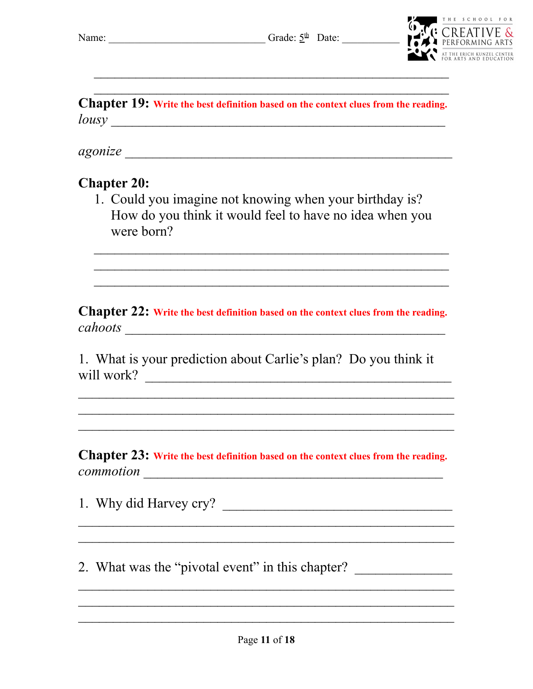$\mathcal{L}_\mathcal{L}$  , and the set of the set of the set of the set of the set of the set of the set of the set of the set of the set of the set of the set of the set of the set of the set of the set of the set of the set of th



**Chapter 19: Write the best definition based on the context clues from the reading.** *lousy \_\_\_\_\_\_\_\_\_\_\_\_\_\_\_\_\_\_\_\_\_\_\_\_\_\_\_\_\_\_\_\_\_\_\_\_\_\_\_\_\_\_\_\_\_\_\_\_*

 $\mathcal{L}_\text{max}$  , and the contract of the contract of the contract of the contract of the contract of the contract of the contract of the contract of the contract of the contract of the contract of the contract of the contr  $\mathcal{L}_\text{max}$  , and the contract of the contract of the contract of the contract of the contract of the contract of the contract of the contract of the contract of the contract of the contract of the contract of the contr

*agonize \_\_\_\_\_\_\_\_\_\_\_\_\_\_\_\_\_\_\_\_\_\_\_\_\_\_\_\_\_\_\_\_\_\_\_\_\_\_\_\_\_\_\_\_\_\_\_*

#### **Chapter 20:**

1. Could you imagine not knowing when your birthday is? How do you think it would feel to have no idea when you were born?

 $\mathcal{L}_\text{max}$  and the contract of the contract of the contract of the contract of the contract of the contract of the contract of the contract of the contract of the contract of the contract of the contract of the contrac  $\mathcal{L}_\text{max}$  and the contract of the contract of the contract of the contract of the contract of the contract of the contract of the contract of the contract of the contract of the contract of the contract of the contrac

**Chapter 22: Write the best definition based on the context clues from the reading.** *cahoots \_\_\_\_\_\_\_\_\_\_\_\_\_\_\_\_\_\_\_\_\_\_\_\_\_\_\_\_\_\_\_\_\_\_\_\_\_\_\_\_\_\_\_\_\_\_*

1. What is your prediction about Carlie's plan? Do you think it will work? \_\_\_\_\_\_\_\_\_\_\_\_\_\_\_\_\_\_\_\_\_\_\_\_\_\_\_\_\_\_\_\_\_\_\_\_\_\_\_\_\_\_\_\_

 $\mathcal{L}_\text{max}$  , and the contract of the contract of the contract of the contract of the contract of the contract of the contract of the contract of the contract of the contract of the contract of the contract of the contr  $\mathcal{L}_\text{max}$  , and the contract of the contract of the contract of the contract of the contract of the contract of the contract of the contract of the contract of the contract of the contract of the contract of the contr  $\mathcal{L}_\text{max}$  , and the contract of the contract of the contract of the contract of the contract of the contract of the contract of the contract of the contract of the contract of the contract of the contract of the contr

**Chapter 23: Write the best definition based on the context clues from the reading.** *commotion* \_\_\_\_\_\_\_\_\_\_\_\_\_\_\_\_\_\_\_\_\_\_\_\_\_\_\_\_\_\_\_\_\_\_\_\_\_\_\_\_\_\_\_

 $\mathcal{L}_\text{max}$  and the contract of the contract of the contract of the contract of the contract of the contract of  $\mathcal{L}_\text{max}$  and the contract of the contract of the contract of the contract of the contract of the contract of

1. Why did Harvey cry? \_\_\_\_\_\_\_\_\_\_\_\_\_\_\_\_\_\_\_\_\_\_\_\_\_\_\_\_\_\_\_\_\_

2. What was the "pivotal event" in this chapter? \_\_\_\_\_\_\_\_\_\_\_\_\_\_\_\_\_\_\_\_\_\_\_\_\_\_\_\_\_\_\_

 $\mathcal{L}_\text{max}$  , and the contract of the contract of the contract of the contract of the contract of the contract of the contract of the contract of the contract of the contract of the contract of the contract of the contr  $\mathcal{L}_\text{max}$  , and the contract of the contract of the contract of the contract of the contract of the contract of the contract of the contract of the contract of the contract of the contract of the contract of the contr  $\mathcal{L}_\text{max}$  , and the contract of the contract of the contract of the contract of the contract of the contract of the contract of the contract of the contract of the contract of the contract of the contract of the contr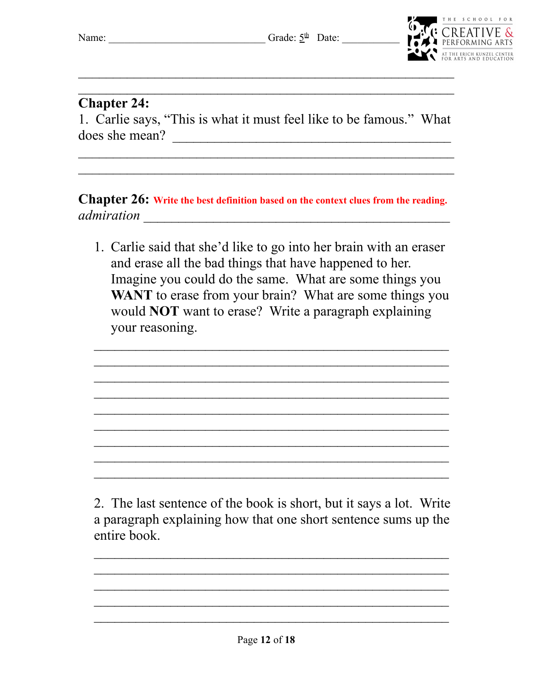

#### **Chapter 24:**

1. Carlie says, "This is what it must feel like to be famous." What does she mean?

 $\mathcal{L}_\text{max}$  , and the contract of the contract of the contract of the contract of the contract of the contract of the contract of the contract of the contract of the contract of the contract of the contract of the contr  $\mathcal{L}_\text{max}$  , and the contract of the contract of the contract of the contract of the contract of the contract of the contract of the contract of the contract of the contract of the contract of the contract of the contr

 $\mathcal{L}_\text{max}$  , and the contract of the contract of the contract of the contract of the contract of the contract of the contract of the contract of the contract of the contract of the contract of the contract of the contr  $\mathcal{L}_\text{max}$  , and the contract of the contract of the contract of the contract of the contract of the contract of the contract of the contract of the contract of the contract of the contract of the contract of the contr

**Chapter 26: Write the best definition based on the context clues from the reading.** *admiration* \_\_\_\_\_\_\_\_\_\_\_\_\_\_\_\_\_\_\_\_\_\_\_\_\_\_\_\_\_\_\_\_\_\_\_\_\_\_\_\_\_\_\_\_

1. Carlie said that she'd like to go into her brain with an eraser and erase all the bad things that have happened to her. Imagine you could do the same. What are some things you **WANT** to erase from your brain? What are some things you would **NOT** want to erase? Write a paragraph explaining your reasoning.

 $\mathcal{L}_\text{max}$  , and the contract of the contract of the contract of the contract of the contract of the contract of the contract of the contract of the contract of the contract of the contract of the contract of the contr  $\mathcal{L}_\text{max}$  , and the contract of the contract of the contract of the contract of the contract of the contract of the contract of the contract of the contract of the contract of the contract of the contract of the contr  $\mathcal{L}_\text{max}$  , and the contract of the contract of the contract of the contract of the contract of the contract of the contract of the contract of the contract of the contract of the contract of the contract of the contr  $\mathcal{L}_\text{max}$  , and the contract of the contract of the contract of the contract of the contract of the contract of the contract of the contract of the contract of the contract of the contract of the contract of the contr  $\mathcal{L}_\text{max}$  , and the contract of the contract of the contract of the contract of the contract of the contract of the contract of the contract of the contract of the contract of the contract of the contract of the contr  $\mathcal{L}_\text{max}$  , and the contract of the contract of the contract of the contract of the contract of the contract of the contract of the contract of the contract of the contract of the contract of the contract of the contr  $\mathcal{L}_\text{max}$  , and the contract of the contract of the contract of the contract of the contract of the contract of the contract of the contract of the contract of the contract of the contract of the contract of the contr  $\mathcal{L}_\text{max}$  , and the contract of the contract of the contract of the contract of the contract of the contract of the contract of the contract of the contract of the contract of the contract of the contract of the contr  $\mathcal{L}_\text{max}$  , and the contract of the contract of the contract of the contract of the contract of the contract of the contract of the contract of the contract of the contract of the contract of the contract of the contr

2. The last sentence of the book is short, but it says a lot. Write a paragraph explaining how that one short sentence sums up the entire book.

 $\mathcal{L}_\text{max}$  , and the contract of the contract of the contract of the contract of the contract of the contract of the contract of the contract of the contract of the contract of the contract of the contract of the contr  $\mathcal{L}_\text{max}$  , and the contract of the contract of the contract of the contract of the contract of the contract of the contract of the contract of the contract of the contract of the contract of the contract of the contr  $\mathcal{L}_\text{max}$  , and the contract of the contract of the contract of the contract of the contract of the contract of the contract of the contract of the contract of the contract of the contract of the contract of the contr  $\mathcal{L}_\text{max}$  , and the contract of the contract of the contract of the contract of the contract of the contract of the contract of the contract of the contract of the contract of the contract of the contract of the contr  $\mathcal{L}_\text{max}$  , and the contract of the contract of the contract of the contract of the contract of the contract of the contract of the contract of the contract of the contract of the contract of the contract of the contr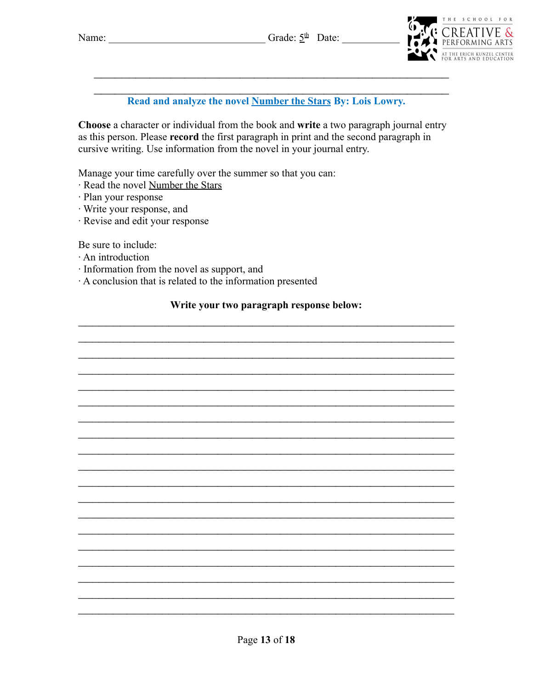

**Read and analyze the novel Number the Stars By: Lois Lowry.**

 $\mathcal{L}_\text{max}$  , and the contract of the contract of the contract of the contract of the contract of the contract of the contract of the contract of the contract of the contract of the contract of the contract of the contr

**Choose** a character or individual from the book and **write** a two paragraph journal entry as this person. Please **record** the first paragraph in print and the second paragraph in cursive writing. Use information from the novel in your journal entry.

Manage your time carefully over the summer so that you can:

- ∙ Read the novel Number the Stars
- ∙ Plan your response
- ∙ Write your response, and
- ∙ Revise and edit your response

Be sure to include:

- ∙ An introduction
- ∙ Information from the novel as support, and
- ∙ A conclusion that is related to the information presented

#### **Write your two paragraph response below:**  $\mathcal{L}_\text{max}$  , and the contract of the contract of the contract of the contract of the contract of the contract of the contract of the contract of the contract of the contract of the contract of the contract of the contr

 $\mathcal{L}_\text{max}$  , and the contract of the contract of the contract of the contract of the contract of the contract of the contract of the contract of the contract of the contract of the contract of the contract of the contr  $\mathcal{L}_\text{max}$  , and the contract of the contract of the contract of the contract of the contract of the contract of the contract of the contract of the contract of the contract of the contract of the contract of the contr  $\mathcal{L}_\text{max}$  , and the contract of the contract of the contract of the contract of the contract of the contract of the contract of the contract of the contract of the contract of the contract of the contract of the contr  $\mathcal{L}_\text{max}$  and the contract of the contract of the contract of the contract of the contract of the contract of  $\mathcal{L}_\text{max}$  and the contract of the contract of the contract of the contract of the contract of the contract of  $\mathcal{L}_\text{max}$  , and the contract of the contract of the contract of the contract of the contract of the contract of the contract of the contract of the contract of the contract of the contract of the contract of the contr  $\mathcal{L}_\text{max}$  , and the contract of the contract of the contract of the contract of the contract of the contract of the contract of the contract of the contract of the contract of the contract of the contract of the contr  $\mathcal{L}_\text{max}$  , and the contract of the contract of the contract of the contract of the contract of the contract of the contract of the contract of the contract of the contract of the contract of the contract of the contr  $\mathcal{L}_\text{max}$  , and the contract of the contract of the contract of the contract of the contract of the contract of the contract of the contract of the contract of the contract of the contract of the contract of the contr  $\mathcal{L}_\text{max}$  , and the contract of the contract of the contract of the contract of the contract of the contract of the contract of the contract of the contract of the contract of the contract of the contract of the contr  $\mathcal{L}_\text{max}$  , and the contract of the contract of the contract of the contract of the contract of the contract of the contract of the contract of the contract of the contract of the contract of the contract of the contr  $\mathcal{L}_\text{max}$  , and the contract of the contract of the contract of the contract of the contract of the contract of the contract of the contract of the contract of the contract of the contract of the contract of the contr  $\mathcal{L}_\text{max}$  , and the contract of the contract of the contract of the contract of the contract of the contract of the contract of the contract of the contract of the contract of the contract of the contract of the contr  $\mathcal{L}_\text{max}$  , and the contract of the contract of the contract of the contract of the contract of the contract of the contract of the contract of the contract of the contract of the contract of the contract of the contr  $\mathcal{L}_\text{max}$  , and the contract of the contract of the contract of the contract of the contract of the contract of the contract of the contract of the contract of the contract of the contract of the contract of the contr  $\mathcal{L}_\text{max}$  , and the contract of the contract of the contract of the contract of the contract of the contract of the contract of the contract of the contract of the contract of the contract of the contract of the contr  $\mathcal{L}_\text{max}$  , and the contract of the contract of the contract of the contract of the contract of the contract of the contract of the contract of the contract of the contract of the contract of the contract of the contr  $\mathcal{L}_\text{max}$  , and the contract of the contract of the contract of the contract of the contract of the contract of the contract of the contract of the contract of the contract of the contract of the contract of the contr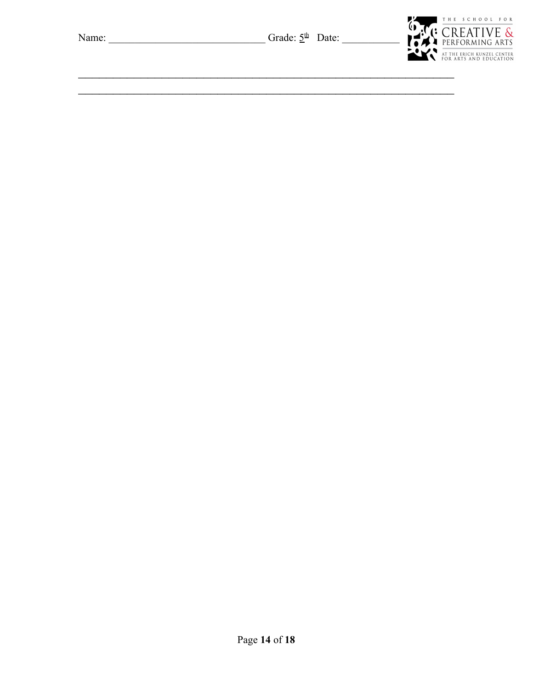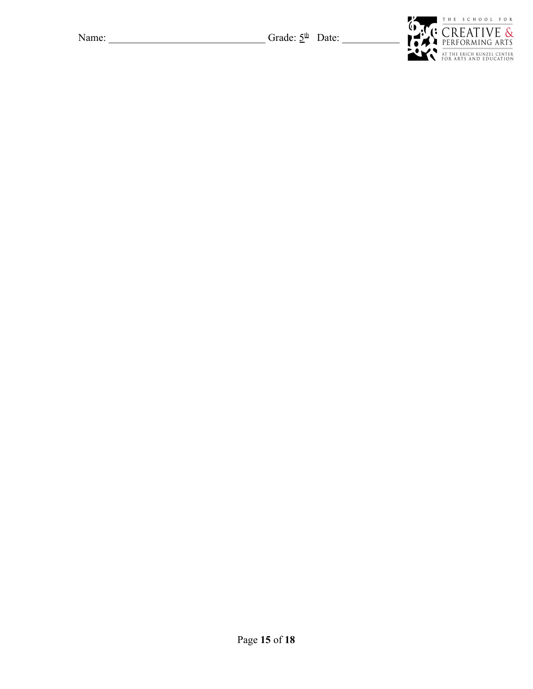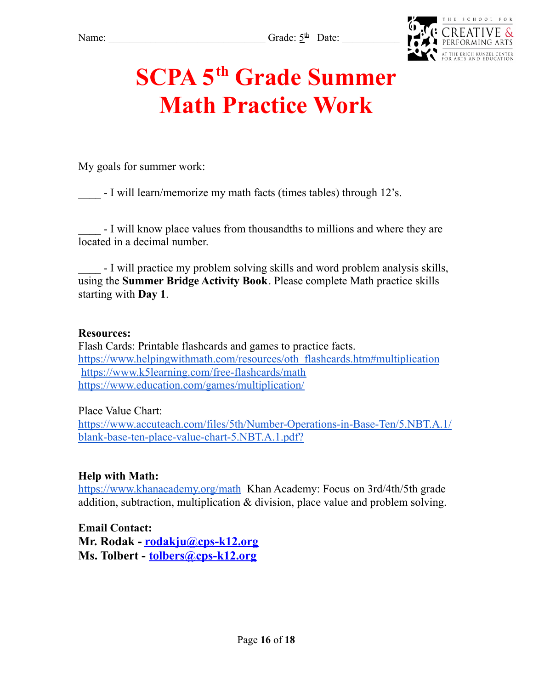



### **SCPA 5 th Grade Summer Math Practice Work**

My goals for summer work:

- I will learn/memorize my math facts (times tables) through 12's.

\_\_\_\_ - I will know place values from thousandths to millions and where they are located in a decimal number.

- I will practice my problem solving skills and word problem analysis skills, using the **Summer Bridge Activity Book**. Please complete Math practice skills starting with **Day 1**.

#### **Resources:**

Flash Cards: Printable flashcards and games to practice facts. [https://www.helpingwithmath.com/resources/oth\\_flashcards.htm#multiplication](https://www.helpingwithmath.com/resources/oth_flashcards.htm#multiplication) <https://www.k5learning.com/free-flashcards/math> <https://www.education.com/games/multiplication/>

Place Value Chart:

[https://www.accuteach.com/files/5th/Number-Operations-in-Base-Ten/5.NBT.A.1/](https://www.accuteach.com/files/5th/Number-Operations-in-Base-Ten/5.NBT.A.1/blank-base-ten-place-value-chart-5.NBT.A.1.pdf?) [blank-base-ten-place-value-chart-5.NBT.A.1.pdf?](https://www.accuteach.com/files/5th/Number-Operations-in-Base-Ten/5.NBT.A.1/blank-base-ten-place-value-chart-5.NBT.A.1.pdf?)

#### **Help with Math:**

<https://www.khanacademy.org/math> Khan Academy: Focus on 3rd/4th/5th grade addition, subtraction, multiplication & division, place value and problem solving.

**Email Contact: Mr. Rodak - [rodakju@cps-k12.org](mailto:rodakju@cps-k12.org) Ms. Tolbert - [tolbers@cps-k12.org](mailto:tolbers@cps-k12.org)**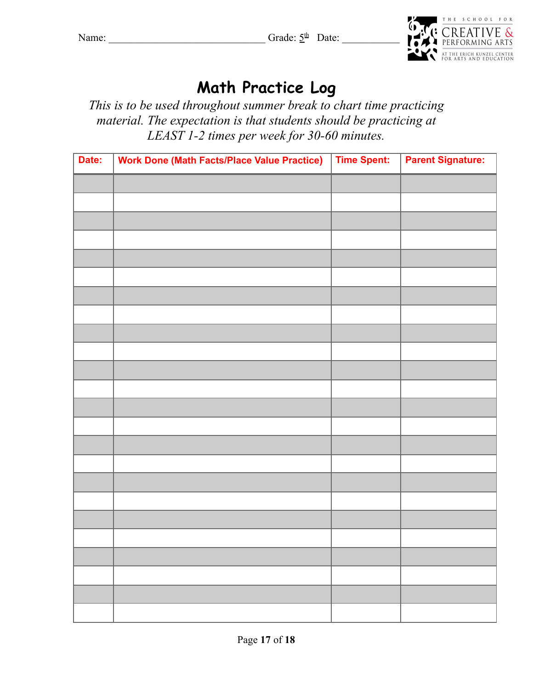

### **Math Practice Log**

*This is to be used throughout summer break to chart time practicing material. The expectation is that students should be practicing at LEAST 1-2 times per week for 30-60 minutes.*

| Date: | <b>Work Done (Math Facts/Place Value Practice)</b> | <b>Time Spent:</b> | <b>Parent Signature:</b> |
|-------|----------------------------------------------------|--------------------|--------------------------|
|       |                                                    |                    |                          |
|       |                                                    |                    |                          |
|       |                                                    |                    |                          |
|       |                                                    |                    |                          |
|       |                                                    |                    |                          |
|       |                                                    |                    |                          |
|       |                                                    |                    |                          |
|       |                                                    |                    |                          |
|       |                                                    |                    |                          |
|       |                                                    |                    |                          |
|       |                                                    |                    |                          |
|       |                                                    |                    |                          |
|       |                                                    |                    |                          |
|       |                                                    |                    |                          |
|       |                                                    |                    |                          |
|       |                                                    |                    |                          |
|       |                                                    |                    |                          |
|       |                                                    |                    |                          |
|       |                                                    |                    |                          |
|       |                                                    |                    |                          |
|       |                                                    |                    |                          |
|       |                                                    |                    |                          |
|       |                                                    |                    |                          |
|       |                                                    |                    |                          |